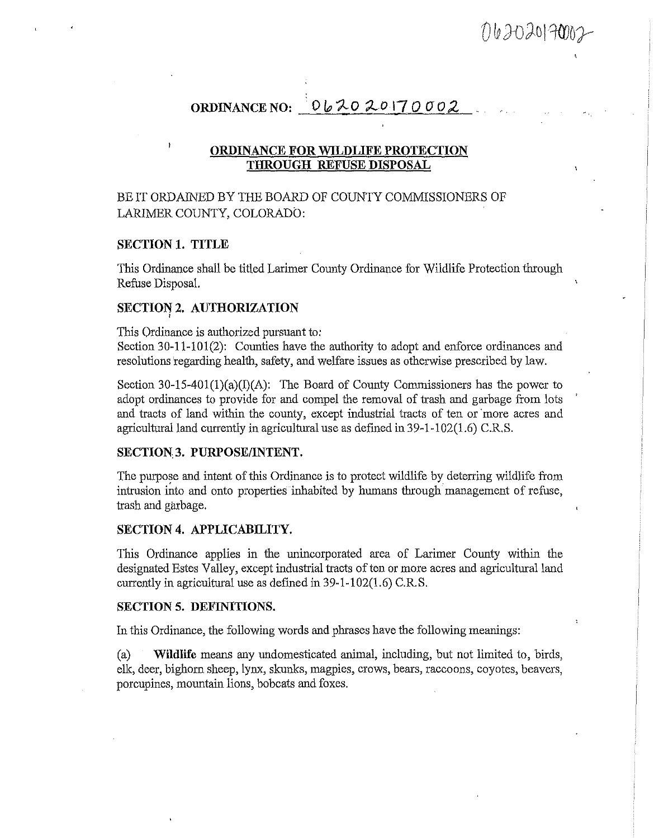062020170002

# **ORDINANCE NO:** • 0 It, **-;;t.o** *~o* **17** *0* **O** *o 2*

### **ORDINANCE FOR WILDLIFE PROTECTION THROUGH REFUSE DISPOSAL**

## BE IT ORDAINED BY THE BOARD OF COUNTY COMMISSIONERS OF LARIMER COUNTY, COLORADO:

### **SECTION 1. TITLE**

This Ordinance shall be titled Larimer County Ordinance for Wildlife Protection through Refuse Disposal.

### **SECTION 2. AUTHORIZATION**

This Ordinance is authorized pursuant to:

Section 30-11-101(2): Counties have the authority to adopt and enforce ordinances and resolutions regarding health, safety, and welfare issues as otherwise prescribed by law.

Section 30-15-401(1)(a)(I)(A): The Board of County Commissioners has the power to adopt ordinances to provide for and compel the removal of trash and garbage from lots and tracts of land within the county, except industrial tracts of ten or 'more acres and agricultural land currently in agricultural use as defined in 39-1-102(1.6) C.R.S.

#### **SECTION;3. PURPOSE/INTENT.**

The purpose and intent of this Ordinance is to protect wildlife by deterring wildlife from intrusion into and onto properties inhabited by humans through management of refuse, trash and garbage.

#### **SECTION 4. APPLICABILITY.**

This Ordinance applies in the unincorporated area of Larimer County within the designated Estes Valley, except industrial tracts of ten or more acres and agricultural land currently in agricultural use as defined in 39-1-102(1.6) C.R.S.

#### **SECTION 5. DEFINITIONS.**

In this Ordinance, the following words and phrases have the following meanings:

(a) **Wildlife** means any undomesticated animal, including, but not limited to, birds, elk, deer, bighorn sheep, lynx, skunks, magpies, crows, bears, raccoons, coyotes, beavers, porcupines, mountain lions, bobcats and foxes.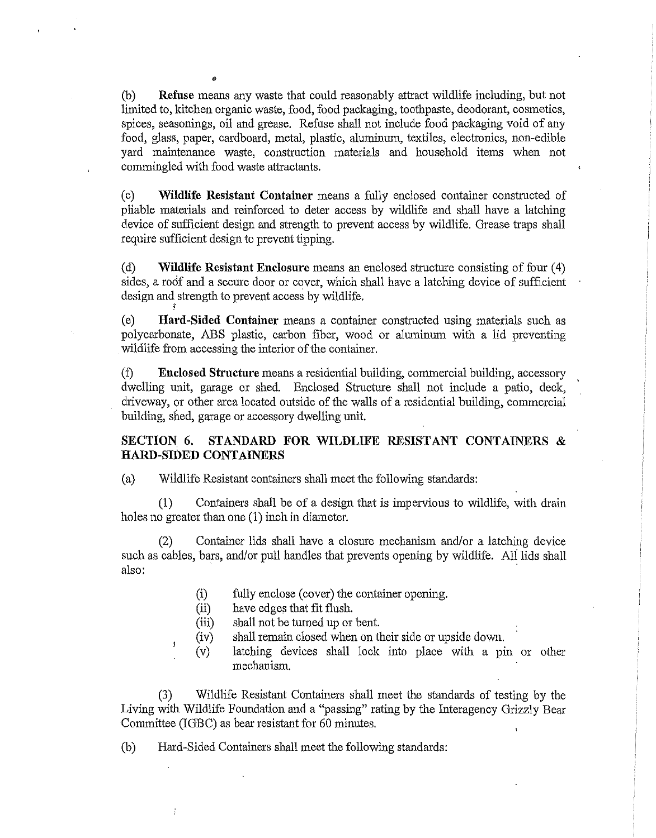(b) **Refuse** means any waste that could reasonably attract wildlife including, but not limited to, kitchen organic waste, food, food packaging, toothpaste, deodorant, cosmetics, spices, seasonings, oil and grease. Refuse shall not include food packaging void of any food, glass, paper, cardboard, metal, plastic, aluminum, textiles, electronics, non-edible yard maintenance waste, construction materials and household items when not commingled with food waste attractants.

•

( c) **Wildlife Resistant Container** means a fully enclosed container constructed of pliable materials and reinforced to deter access by wildlife and shall have a latching device of sufficient design and strength to prevent access by wildlife. Grease traps shall require sufficient design to prevent tipping.

(d) **Wildlife Resistant Enclosure** means an enclosed structure consisting of four ( 4) sides, a roof and a secure door or cover, which shall have a latching device of sufficient design and strength to prevent access by wildlife. ;

(e) **Hard-Sided Container** means a container constructed using materials such as polycarbonate, ABS plastic, carbon fiber, wood or aluminum with a lid preventing wildlife from accessing the interior of the container.

(f) **Enclosed Structure** means a residential building, commercial building, accessory dwelling unit, garage or shed. Enclosed Structure shall not include a patio, deck, driveway, or other area located outside of the walls of a residential building, commercial building, shed, garage or accessory dwelling unit.

### **SECTION 6. STANDARD FOR WILDLIFE RESISTANT CONTAINERS** & **HARD-SIOED CONTAINERS**

(a) Wildlife Resistant containers shall meet the following standards:

(1) Containers shall be of a design that is impervious to wildlife, with drain holes no greater than one (1) inch in diameter.

(2) Container lids shall have a closure mechanism and/or a latching device such as cables, bars, and/or pull handles that prevents opening by wildlife. Ali lids shall also:

- (i) fully enclose (cover) the container opening.
- (ii) have edges that fit flush.

 $\mathbf{1}$ 

÷

- (iii) shall not be turned up or bent.
- (iv) shall remain closed when on their side or upside down.
- (v) latching devices shall lock into place with a pin or other mechanism.

(3) Wildlife Resistant Containers shall meet the standards of testing by the Living with Wildlife Foundation and a "passing" rating by the Interagency Grizzly Bear Committee (IGBC) as bear resistant for 60 minutes.

(b) Hard-Sided Containers shall meet the following standards: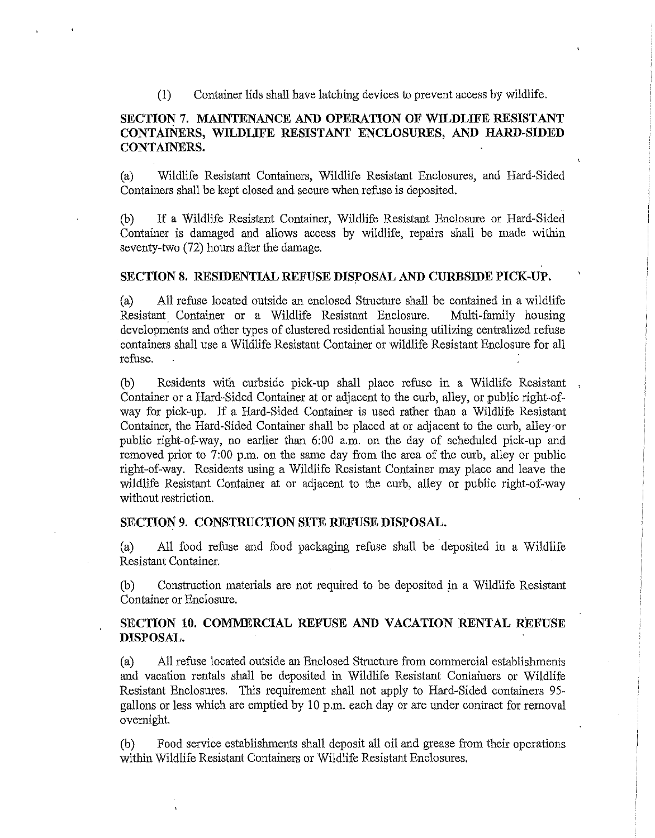(1) Container lids shall have latching devices to prevent access by wildlife.

### **SECTION 7. MAINTENANCE AND OPERATION OF WILDLIFE RESISTANT CONTAINERS, WILDLIFE RESISTANT ENCLOSURES, AND HARD-SIDED CONTAINERS.**

(a) Wildlife Resistant Containers, Wildlife Resistant Enclosures, and Hard-Sided Containers shall be kept closed and secure when refuse is deposited.

(b) If a Wildlife Resistant Container, Wildlife Resistant Enclosure or Hard-Sided Container is damaged and allows access by wildlife, repairs shall be made within seventy-two (72) hours after the damage.

### **SECTION 8. RESIDENTIAL REFUSE DISPOSAL AND CURBSIDE PICK-UP.**

(a) All refuse located outside an enclosed Structure shall be contained in a wildlife Resistant Container or a Wildlife Resistant Enclosure. Multi-family housing developments and other types of clustered residential housing utilizing centralized refuse containers shall use a Wildlife Resistant Container or wildlife Resistant Enclosure for all refuse.

(b) Residents with curbside pick-up shall place refuse in a Wildlife Resistant Container or a Hard-Sided Container at or adjacent to the curb, alley, or public right-ofway for pick-up. If a Hard-Sided Container is used rather than a Wildlife Resistant Container, the Hard-Sided Container shall be placed at or adjacent to the curb, alley or public right-of-way, no earlier than 6:00 a.m. on the day of scheduled pick-up and removed prior to 7:00 p.m. on the same day from the area of the curb, alley or public right-of-way. Residents using a Wildlife Resistant Container may place and leave the wildlife Resistant Container at or adjacent to the curb, alley or public right-of-way without restriction.

**SECTION' 9. CONSTRUCTION SITE REFUSE DISPOSAL.** 

(a) All food refuse and food packaging refuse shall be deposited in a Wildlife Resistant Container.

(b) Construction materials are not required to be deposited in a Wildlife Resistant Container or Enclosure.

### **SECTION 10. COMMERCIAL REFUSE AND VACATION RENTAL REFUSE DISPOSAL.**

(a) All refuse located outside an Enclosed Structure from commercial establishments and vacation rentals shall be deposited in Wildlife Resistant Containers or Wildlife Resistant Enclosures. This requirement shall not apply to Hard-Sided containers 95 gallons or less which are emptied by 10 p.m. each day or are under contract for removal overnight.

(b) Food service establishments shall deposit all oil and grease from their operations within Wildlife Resistant Containers or Wildlife Resistant Enclosures.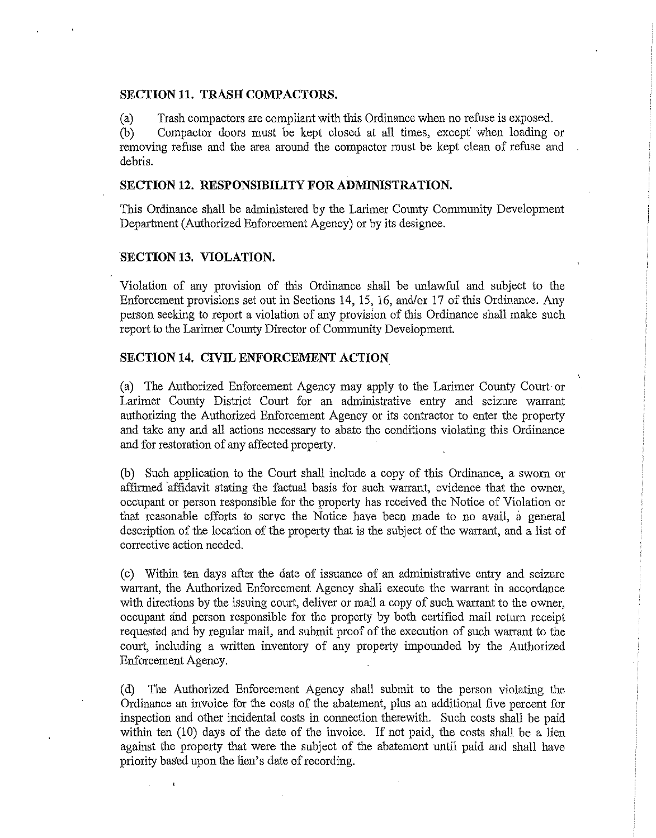### **SECTION 11. TRASH COMPACTORS.**

(a) Trash compactors are compliant with this Ordinance when no refuse is exposed.

(b) Compactor doors must be kept closed at all times, except when loading or removing refuse and the area around the compactor must be kept clean of refuse and debris.

### **SECTION 12. RESPONSIBILITY FOR ADMINISTRATION.**

This Ordinance shall be administered by the Larimer County Community Development Department (Authorized Enforcement Agency) or by its designee.

#### **SECTION 13. VIOLATION.**

 $\ddot{\mathbf{5}}$ 

Violation of any provision of this Ordinance shall be unlawful and subject to the Enforcement provisions set out in Sections 14, 15, 16, and/or 17 of this Ordinance. Any person seeking to report a violation of any provision of this Ordinance shall make such report to the Larimer County Director of Community Development.

### **SECTION 14. CIVIL ENFORCEMENT ACTION**

(a) The Authorized Enforcement Agency may apply to the Larimer County Court or Larimer County District Court for an administrative entry and seizure warrant authorizing the Authorized Enforcement Agency or its contractor to enter the property and take any and all actions necessary to abate the conditions violating this Ordinance and for restoration of any affected property.

(b) Such application to the Court shall include a copy of this Ordinance, a sworn or affirmed 'affidavit stating the factual basis for such warrant, evidence that the owner, occupant or person responsible for the property has received the Notice of Violation or that reasonable efforts to serve the Notice have been made to no avail, a general description of the location of the property that is the subject of the warrant, and a list of corrective action needed.

( c) Within ten days after the date of issuance of an administrative entry and seizure warrant, the Authorized Enforcement Agency shall execute the warrant in accordance with directions by the issuing court, deliver or mail a copy of such warrant to the owner, occupant and person responsible for the property by both certified mail return receipt requested and by regular mail, and submit proof of the execution of such warrant to the court, including a written inventory of any property impounded by the Authorized Enforcement Agency.

( d) The Authorized Enforcement Agency shall submit to the person violating the Ordinance an invoice for the costs of the abatement, plus an additional five percent for inspection and other incidental costs in connection therewith. Such costs shall be paid within ten (10) days of the date of the invoice. If not paid, the costs shall be a lien against the property that were the subject of the abatement until paid and shall have priority based upon the lien's date of recording.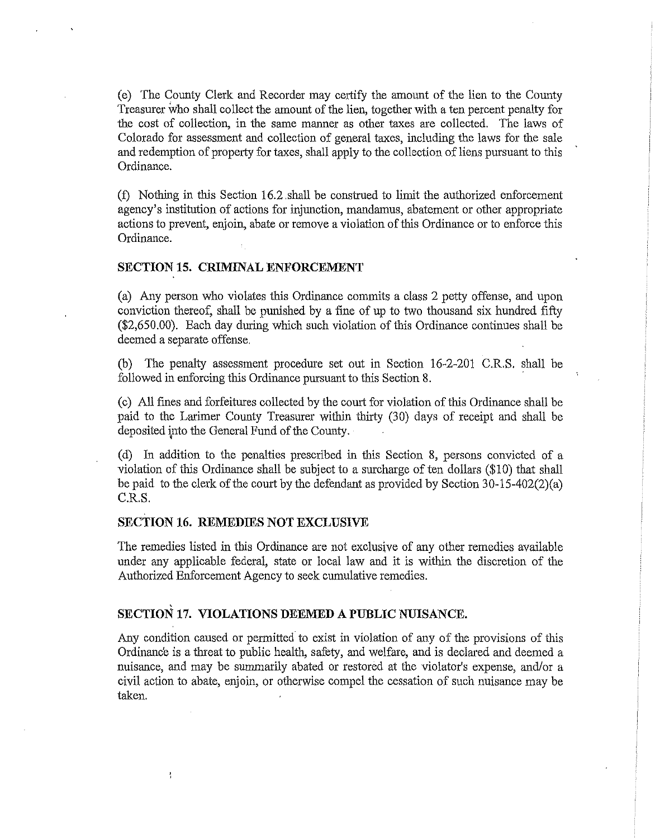(e) The County Clerk and Recorder may certify the amount of the lien to the County Treasurer who shall collect the amount of the lien, together with a ten percent penalty for the cost of collection, in the same manner as other taxes are collected. The laws of Colorado for assessment and collection of general taxes, including the laws for the sale and redemption of property for taxes, shall apply to the collection of liens pursuant to this Ordinance.

(f) Nothing in this Section 16.2 .shall be construed to limit the authorized enforcement agency's institution of actions for injunction, mandamus, abatement or other appropriate actions to prevent, enjoin, abate or remove a violation of this Ordinance or to enforce this Ordinance.

### **SECTION 15. CRIMINAL ENFORCEMENT**

(a) Any person who violates this Ordinance commits a class 2 petty offense, and upon conviction thereof, shall be punished by a fine of up to two thousand six hundred fifty (\$[2,650.00](https://2,650.00)). Each day during which such violation of this Ordinance continues shall be deemed a separate offense.

(b) The penalty assessment procedure set out in Section 16-2-201 C.R.S. shall be followed in enforcing this Ordinance pursuant to this Section 8.

(c) All fines and forfeitures collected by the court for violation of this Ordinance shall be paid to the Larimer County Treasurer within thirty (30) days of receipt and shall be deposited ipto the General Fund of the County.

(d) In addition to the penalties prescribed in this Section 8, persons convicted of a violation of this Ordinance shall be subject to a surcharge of ten dollars (\$10) that shall be paid to the clerk of the court by the defendant as provided by Section 30-15-402(2)(a) C.R.S.

### **SECTION 16. REMEDIES NOT EXCLUSIVE**

t

The remedies listed in this Ordinance are not exclusive of any other remedies available under any applicable federal, state or local law and it is within the discretion of the Authorized Enforcement Agency to seek cumulative remedies.

### **SECTION 17. VIOLATIONS DEEMED A PUBLIC NUISANCE.**

Any condition caused or permitted to exist in violation of any of the provisions of this Ordinance is a threat to public health, safety, and welfare, and is declared and deemed a nuisance, and may be summarily abated or restored at the violator's expense, and/or a civil action to abate, enjoin, or otherwise compel the cessation of such nuisance may be taken.